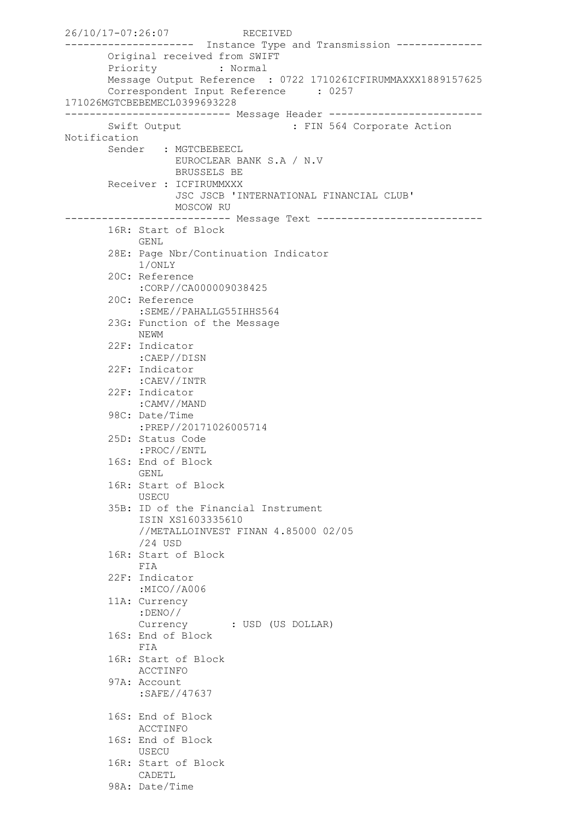```
26/10/17-07:26:07 RECEIVED
-------------------- Instance Type and Transmission --------------
        Original received from SWIFT
        Priority : Normal
        Message Output Reference : 0722 171026ICFIRUMMAXXX1889157625
        Correspondent Input Reference : 0257 
171026MGTCBEBEMECL0399693228
--------------------------- Message Header -------------------------
       Swift Output : FIN 564 Corporate Action
Notification
       Sender : MGTCBEBEECL
                  EUROCLEAR BANK S.A / N.V
                  BRUSSELS BE
        Receiver : ICFIRUMMXXX
                   JSC JSCB 'INTERNATIONAL FINANCIAL CLUB'
                  MOSCOW RU
--------------------------- Message Text ---------------------------
        16R: Start of Block
             GENL
        28E: Page Nbr/Continuation Indicator
             1/ONLY
        20C: Reference
             :CORP//CA000009038425
        20C: Reference
             :SEME//PAHALLG55IHHS564
        23G: Function of the Message
             NEWM
        22F: Indicator
            :CAEP//DISN
        22F: Indicator
             :CAEV//INTR
        22F: Indicator
             :CAMV//MAND
        98C: Date/Time
             :PREP//20171026005714
        25D: Status Code
            :PROC//ENTL
        16S: End of Block
            GENL
        16R: Start of Block
             USECU
        35B: ID of the Financial Instrument
             ISIN XS1603335610
             //METALLOINVEST FINAN 4.85000 02/05
             /24 USD
        16R: Start of Block
            FIA
        22F: Indicator
             :MICO//A006
        11A: Currency
             :DENO//
             Currency : USD (US DOLLAR)
        16S: End of Block
            FIA
        16R: Start of Block
            ACCTINFO
        97A: Account
             :SAFE//47637
        16S: End of Block
            ACCTINFO
        16S: End of Block
            USECU
        16R: Start of Block
            CADETL
        98A: Date/Time
```